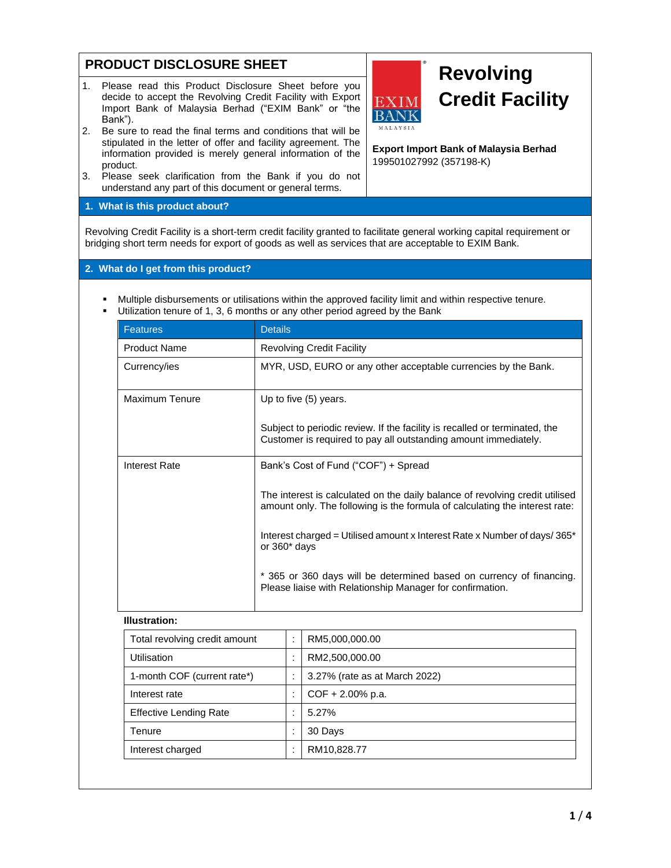# **PRODUCT DISCLOSURE SHEET**

- 1. Please read this Product Disclosure Sheet before you decide to accept the Revolving Credit Facility with Export Import Bank of Malaysia Berhad ("EXIM Bank" or "the Bank").
- 2. Be sure to read the final terms and conditions that will be stipulated in the letter of offer and facility agreement. The information provided is merely general information of the product.
- 3. Please seek clarification from the Bank if you do not understand any part of this document or general terms.

# **1. What is this product about?**

Revolving Credit Facility is a short-term credit facility granted to facilitate general working capital requirement or bridging short term needs for export of goods as well as services that are acceptable to EXIM Bank.

# **2. What do I get from this product?**

- Multiple disbursements or utilisations within the approved facility limit and within respective tenure.
- **■** Utilization tenure of 1, 3, 6 months or any other period agreed by the Bank

| <b>Features</b>     | <b>Details</b>                                                                                                                                              |
|---------------------|-------------------------------------------------------------------------------------------------------------------------------------------------------------|
| <b>Product Name</b> | <b>Revolving Credit Facility</b>                                                                                                                            |
| Currency/ies        | MYR, USD, EURO or any other acceptable currencies by the Bank.                                                                                              |
| Maximum Tenure      | Up to five (5) years.                                                                                                                                       |
|                     | Subject to periodic review. If the facility is recalled or terminated, the<br>Customer is required to pay all outstanding amount immediately.               |
| Interest Rate       | Bank's Cost of Fund ("COF") + Spread                                                                                                                        |
|                     | The interest is calculated on the daily balance of revolving credit utilised<br>amount only. The following is the formula of calculating the interest rate: |
|                     | Interest charged = Utilised amount x Interest Rate x Number of days/365*<br>or $360*$ days                                                                  |
|                     | * 365 or 360 days will be determined based on currency of financing.<br>Please liaise with Relationship Manager for confirmation.                           |

### **Illustration:**

| Total revolving credit amount | $\overline{\phantom{a}}$ | RM5,000,000.00                |
|-------------------------------|--------------------------|-------------------------------|
| Utilisation                   | $\cdot$                  | RM2,500,000.00                |
| 1-month COF (current rate*)   | ٠                        | 3.27% (rate as at March 2022) |
| Interest rate                 |                          | $COF + 2.00\%$ p.a.           |
| <b>Effective Lending Rate</b> | ٠                        | 5.27%                         |
| Tenure                        | ٠                        | 30 Days                       |
| Interest charged              | ٠.                       | RM10,828.77                   |



**Export Import Bank of Malaysia Berhad**

EXIM **BANK** MALAYSIA

199501027992 (357198-K)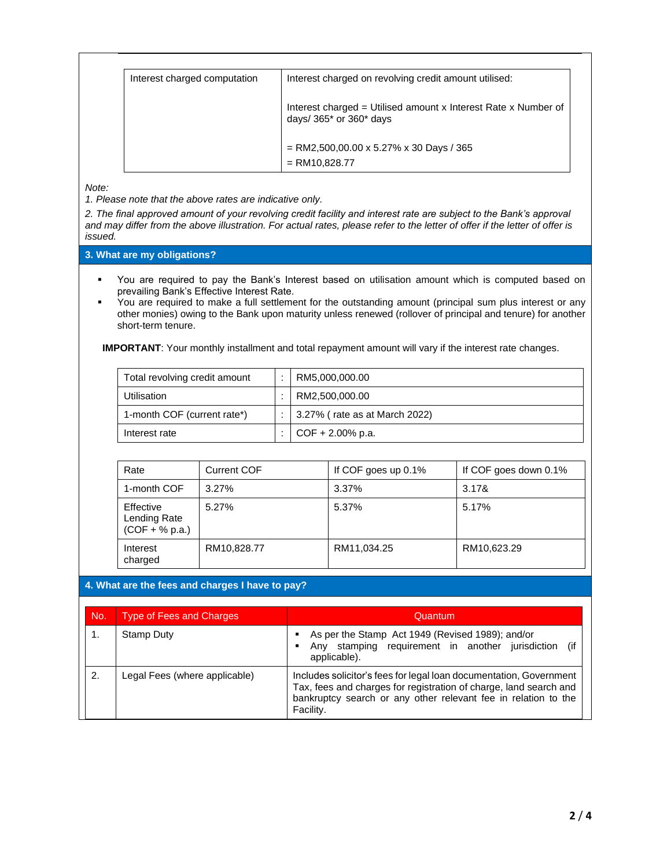| Interest charged computation | Interest charged on revolving credit amount utilised:                                           |
|------------------------------|-------------------------------------------------------------------------------------------------|
|                              | Interest charged = Utilised amount x Interest Rate x Number of<br>days/ $365$ * or $360$ * days |
|                              | $=$ RM2,500,00.00 x 5.27% x 30 Days / 365<br>$=$ RM10,828.77                                    |

*Note:* 

*1. Please note that the above rates are indicative only.*

*2. The final approved amount of your revolving credit facility and interest rate are subject to the Bank's approval and may differ from the above illustration. For actual rates, please refer to the letter of offer if the letter of offer is issued.*

**3. What are my obligations?**

- You are required to pay the Bank's Interest based on utilisation amount which is computed based on prevailing Bank's Effective Interest Rate.
- You are required to make a full settlement for the outstanding amount (principal sum plus interest or any other monies) owing to the Bank upon maturity unless renewed (rollover of principal and tenure) for another short-term tenure.

**IMPORTANT**: Your monthly installment and total repayment amount will vary if the interest rate changes.

| Total revolving credit amount | RM5,000,000.00                        |
|-------------------------------|---------------------------------------|
| Utilisation                   | RM2,500,000.00                        |
| 1-month COF (current rate*)   | $\vert$ 3.27% (rate as at March 2022) |
| Interest rate                 | $COF + 2.00\%$ p.a.                   |

| Rate                                          | <b>Current COF</b> | If COF goes up $0.1\%$ | If COF goes down 0.1% |
|-----------------------------------------------|--------------------|------------------------|-----------------------|
| 1-month COF                                   | $3.27\%$           | 3.37%                  | 3.17&                 |
| Effective<br>Lending Rate<br>$(COF + % p.a.)$ | 5.27%              | 5.37%                  | 5.17%                 |
| Interest<br>charged                           | RM10,828.77        | RM11,034.25            | RM10,623.29           |

## **4. What are the fees and charges I have to pay?**

| No. | <b>Type of Fees and Charges</b> | Quantum                                                                                                                                                                                                                |
|-----|---------------------------------|------------------------------------------------------------------------------------------------------------------------------------------------------------------------------------------------------------------------|
| 1.  | Stamp Duty                      | As per the Stamp Act 1949 (Revised 1989); and/or<br>Any stamping requirement in another jurisdiction<br>(if<br>applicable).                                                                                            |
| 2.  | Legal Fees (where applicable)   | Includes solicitor's fees for legal loan documentation, Government<br>Tax, fees and charges for registration of charge, land search and<br>bankruptcy search or any other relevant fee in relation to the<br>Facility. |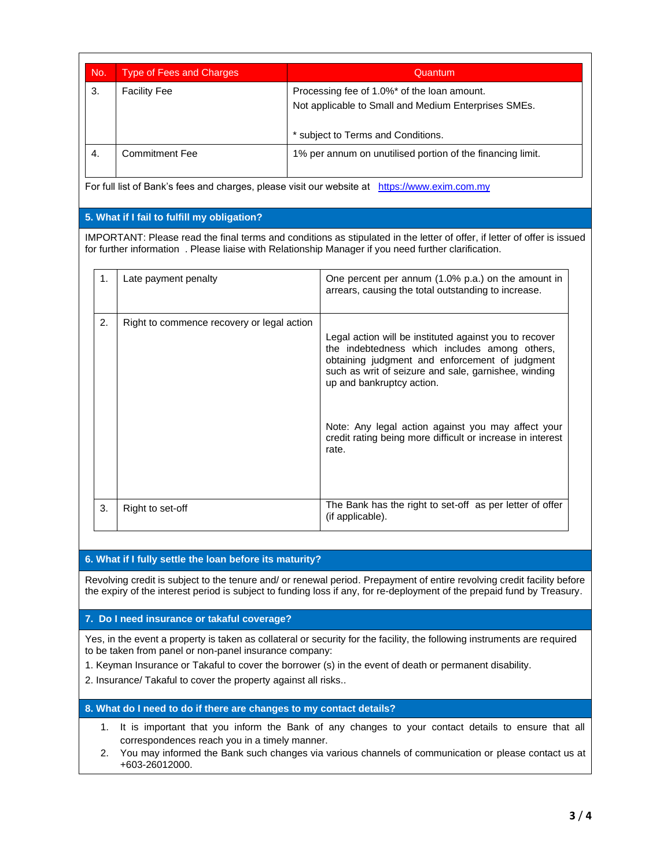| No.              | <b>Type of Fees and Charges</b>             | Quantum                                                                                                                                                                                                                          |
|------------------|---------------------------------------------|----------------------------------------------------------------------------------------------------------------------------------------------------------------------------------------------------------------------------------|
| 3.               | <b>Facility Fee</b>                         | Processing fee of 1.0%* of the loan amount.                                                                                                                                                                                      |
|                  |                                             | Not applicable to Small and Medium Enterprises SMEs.                                                                                                                                                                             |
|                  |                                             | * subject to Terms and Conditions.                                                                                                                                                                                               |
| $\overline{4}$ . | <b>Commitment Fee</b>                       | 1% per annum on unutilised portion of the financing limit.                                                                                                                                                                       |
|                  |                                             | For full list of Bank's fees and charges, please visit our website at https://www.exim.com.my                                                                                                                                    |
|                  | 5. What if I fail to fulfill my obligation? |                                                                                                                                                                                                                                  |
|                  |                                             | IMPORTANT: Please read the final terms and conditions as stipulated in the letter of offer, if letter of offer is issued<br>for further information . Please liaise with Relationship Manager if you need further clarification. |
| 1.               | Late payment penalty                        | One percent per annum (1.0% p.a.) on the amount in<br>arrears, causing the total outstanding to increase.                                                                                                                        |
| 2.               | Right to commence recovery or legal action  | Legal action will be instituted against you to recover                                                                                                                                                                           |
|                  |                                             | the indebtedness which includes among others,<br>obtaining judgment and enforcement of judgment<br>such as writ of seizure and sale, garnishee, winding<br>up and bankruptcy action.                                             |
|                  |                                             | Note: Any legal action against you may affect your<br>credit rating being more difficult or increase in interest<br>rate.                                                                                                        |

# **6. What if I fully settle the loan before its maturity?**

Revolving credit is subject to the tenure and/ or renewal period. Prepayment of entire revolving credit facility before the expiry of the interest period is subject to funding loss if any, for re-deployment of the prepaid fund by Treasury.

## **7. Do I need insurance or takaful coverage?**

Yes, in the event a property is taken as collateral or security for the facility, the following instruments are required to be taken from panel or non-panel insurance company:

1. Keyman Insurance or Takaful to cover the borrower (s) in the event of death or permanent disability.

2. Insurance/ Takaful to cover the property against all risks..

## **8. What do I need to do if there are changes to my contact details?**

- 1. It is important that you inform the Bank of any changes to your contact details to ensure that all correspondences reach you in a timely manner.
- 2. You may informed the Bank such changes via various channels of communication or please contact us at +603-26012000.